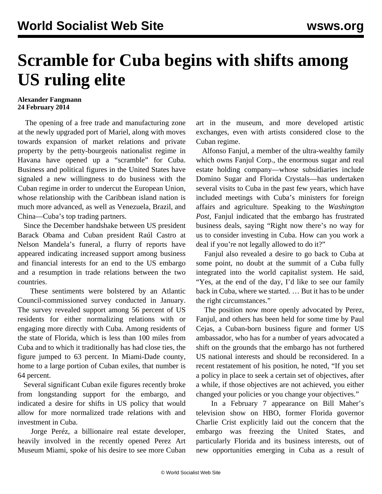## **Scramble for Cuba begins with shifts among US ruling elite**

## **Alexander Fangmann 24 February 2014**

 The opening of a free trade and manufacturing zone at the newly upgraded port of Mariel, along with moves towards expansion of market relations and private property by the petty-bourgeois nationalist regime in Havana have opened up a "scramble" for Cuba. Business and political figures in the United States have signaled a new willingness to do business with the Cuban regime in order to undercut the European Union, whose relationship with the Caribbean island nation is much more advanced, as well as Venezuela, Brazil, and China—Cuba's top trading partners.

 Since the December [handshake](/en/articles/2013/12/17/cuba-d17.html) between US president Barack Obama and Cuban president Raúl Castro at Nelson Mandela's funeral, a flurry of reports have appeared indicating increased support among business and financial interests for an end to the US embargo and a resumption in trade relations between the two countries.

 These sentiments were bolstered by an Atlantic Council-commissioned survey conducted in January. The survey revealed support among 56 percent of US residents for either normalizing relations with or engaging more directly with Cuba. Among residents of the state of Florida, which is less than 100 miles from Cuba and to which it traditionally has had close ties, the figure jumped to 63 percent. In Miami-Dade county, home to a large portion of Cuban exiles, that number is 64 percent.

 Several significant Cuban exile figures recently broke from longstanding support for the embargo, and indicated a desire for shifts in US policy that would allow for more normalized trade relations with and investment in Cuba.

 Jorge Peréz, a billionaire real estate developer, heavily involved in the recently opened Perez Art Museum Miami, spoke of his desire to see more Cuban art in the museum, and more developed artistic exchanges, even with artists considered close to the Cuban regime.

 Alfonso Fanjul, a member of the ultra-wealthy family which owns Fanjul Corp., the enormous sugar and real estate holding company—whose subsidiaries include Domino Sugar and Florida Crystals—has undertaken several visits to Cuba in the past few years, which have included meetings with Cuba's ministers for foreign affairs and agriculture. Speaking to the *Washington Post*, Fanjul indicated that the embargo has frustrated business deals, saying "Right now there's no way for us to consider investing in Cuba. How can you work a deal if you're not legally allowed to do it?"

 Fanjul also revealed a desire to go back to Cuba at some point, no doubt at the summit of a Cuba fully integrated into the world capitalist system. He said, "Yes, at the end of the day, I'd like to see our family back in Cuba, where we started. … But it has to be under the right circumstances."

 The position now more openly advocated by Perez, Fanjul, and others has been held for some time by Paul Cejas, a Cuban-born business figure and former US ambassador, who has for a number of years advocated a shift on the grounds that the embargo has not furthered US national interests and should be reconsidered. In a recent restatement of his position, he noted, "If you set a policy in place to seek a certain set of objectives, after a while, if those objectives are not achieved, you either changed your policies or you change your objectives."

 In a February 7 appearance on Bill Maher's television show on HBO, former Florida governor Charlie Crist explicitly laid out the concern that the embargo was freezing the United States, and particularly Florida and its business interests, out of new opportunities emerging in Cuba as a result of